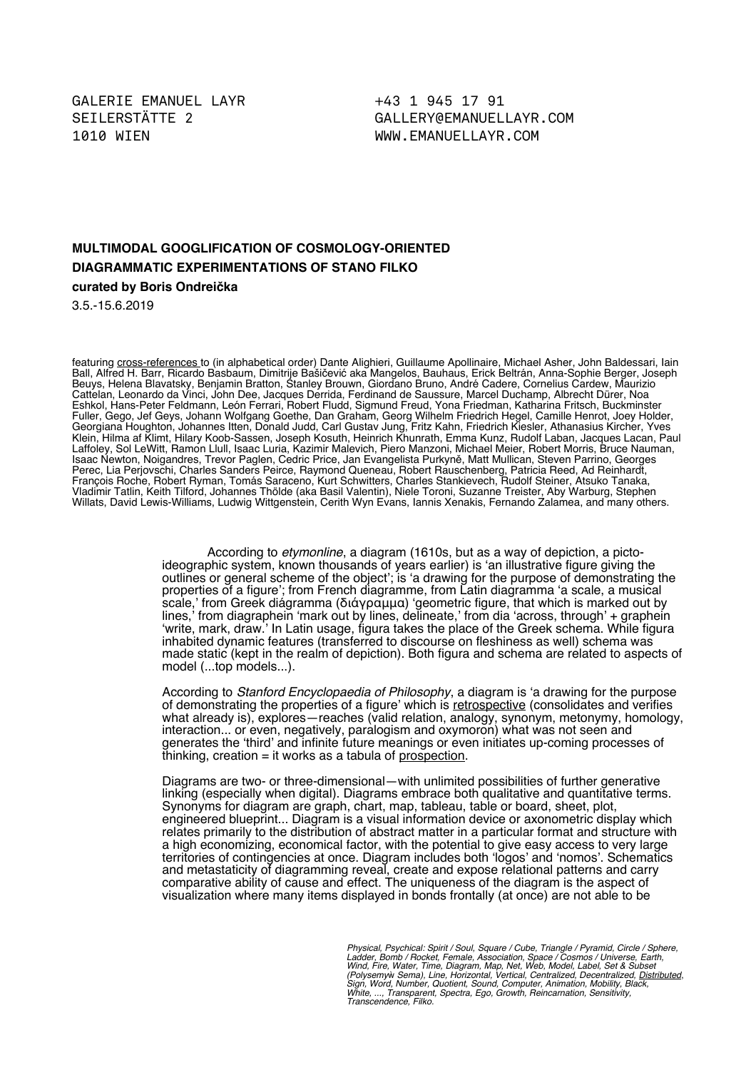+43 1 945 17 91 [GALLERY@EMANUELLAYR.COM](mailto:gallery@emanuellayr.com) WWW.EMANUELLAYR.COM

## **MULTIMODAL GOOGLIFICATION OF COSMOLOGY-ORIENTED DIAGRAMMATIC EXPERIMENTATIONS OF STANO FILKO**

**curated by Boris Ondreička**

3.5.-15.6.2019

featuring <u>cross-references t</u>o (in alphabetical order) Dante Alighieri, Guillaume Apollinaire, Michael Asher, John Baldessari, Iain Ball, Alfred H. Barr, Ricardo Basbaum, Dimitrije Bašičević aka Mangelos, Bauhaus, Erick Beltrán, Anna-Sophie Berger, Joseph Beuys, Helena Blavatsky, Benjamin Bratton, Stanley Brouwn, Giordano Bruno, André Cadere, Cornelius Cardew, Maurizio Cattelan, Leonardo da Vinci, John Dee, Jacques Derrida, Ferdinand de Saussure, Marcel Duchamp, Albrecht Dürer, Noa Eshkol, Hans-Peter Feldmann, León Ferrari, Robert Fludd, Sigmund Freud, Yona Friedman, Katharina Fritsch, Buckminster Fuller, Gego, Jef Geys, Johann Wolfgang Goethe, Dan Graham, Georg Wilhelm Friedrich Hegel, Camille Henrot, Joey Holder, Georgiana Houghton, Johannes Itten, Donald Judd, Carl Gustav Jung, Fritz Kahn, Friedrich Kiesler, Athanasius Kircher, Yves Klein, Hilma af Klimt, Hilary Koob-Sassen, Joseph Kosuth, Heinrich Khunrath, Emma Kunz, Rudolf Laban, Jacques Lacan, Paul Laffoley, Sol LeWitt, Ramon Llull, Isaac Luria, Kazimir Malevich, Piero Manzoni, Michael Meier, Robert Morris, Bruce Nauman, Isaac Newton, Noigandres, Trevor Paglen, Cedric Price, Jan Evangelista Purkyně, Matt Mullican, Steven Parrino, Georges Perec, Lia Perjovschi, Charles Sanders Peirce, Raymond Queneau, Robert Rauschenberg, Patricia Reed, Ad Reinhardt, François Roche, Robert Ryman, Tomás Saraceno, Kurt Schwitters, Charles Stankievech, Rudolf Steiner, Atsuko Tanaka, Vladimir Tatlin, Keith Tilford, Johannes Thölde (aka Basil Valentin), Niele Toroni, Suzanne Treister, Aby Warburg, Stephen Willats, David Lewis-Williams, Ludwig Wittgenstein, Cerith Wyn Evans, Iannis Xenakis, Fernando Zalamea, and many others.

> According to etymonline, a diagram (1610s, but as a way of depiction, a pictoideographic system, known thousands of years earlier) is 'an illustrative fgure giving the outlines or general scheme of the object'; is 'a drawing for the purpose of demonstrating the properties of a fgure'; from French diagramme, from Latin diagramma 'a scale, a musical scale,' from Greek diágramma (διάγραμμα) 'geometric fgure, that which is marked out by lines,' from diagraphein 'mark out by lines, delineate,' from dia 'across, through' + graphein 'write, mark, draw.' In Latin usage, figura takes the place of the Greek schema. While figura inhabited dynamic features (transferred to discourse on feshiness as well) schema was made static (kept in the realm of depiction). Both figura and schema are related to aspects of model (...top models...).

> According to *Stanford Encyclopaedia of Philosophy*, a diagram is 'a drawing for the purpose of demonstrating the properties of a figure' which is retrospective (consolidates and verifies what already is), explores—reaches (valid relation, analogy, synonym, metonymy, homology, interaction... or even, negatively, paralogism and oxymoron) what was not seen and generates the 'third' and infnite future meanings or even initiates up-coming processes of  $t$ hinking, creation = it works as a tabula of prospection.

> Diagrams are two- or three-dimensional—with unlimited possibilities of further generative linking (especially when digital). Diagrams embrace both qualitative and quantitative terms. Synonyms for diagram are graph, chart, map, tableau, table or board, sheet, plot, engineered blueprint... Diagram is a visual information device or axonometric display which relates primarily to the distribution of abstract matter in a particular format and structure with a high economizing, economical factor, with the potential to give easy access to very large territories of contingencies at once. Diagram includes both 'logos' and 'nomos'. Schematics and metastaticity of diagramming reveal, create and expose relational patterns and carry comparative ability of cause and effect. The uniqueness of the diagram is the aspect of visualization where many items displayed in bonds frontally (at once) are not able to be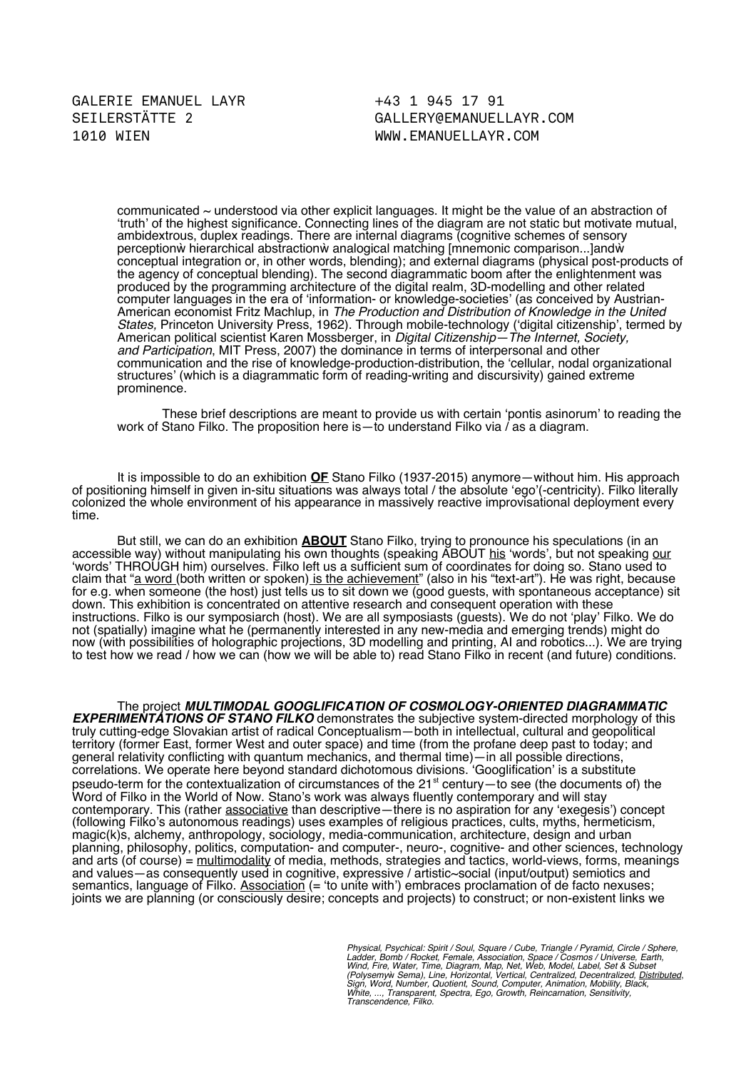+43 1 945 17 91 [GALLERY@EMANUELLAYR.COM](mailto:gallery@emanuellayr.com) WWW.EMANUELLAYR.COM

communicated ~ understood via other explicit languages. It might be the value of an abstraction of 'truth' of the highest signifcance. Connecting lines of the diagram are not static but motivate mutual, ambidextrous, duplex readings. There are internal diagrams (cognitive schemes of sensory perceptionẁ hierarchical abstractionẁ analogical matching [mnemonic comparison...]andẁ conceptual integration or, in other words, blending); and external diagrams (physical post-products of the agency of conceptual blending). The second diagrammatic boom after the enlightenment was produced by the programming architecture of the digital realm, 3D-modelling and other related computer languages in the era of 'information- or knowledge-societies' (as conceived by Austrian-American economist Fritz Machlup, in The Production and Distribution of Knowledge in the United States, Princeton University Press, 1962). Through mobile-technology ('digital citizenship', termed by American political scientist Karen Mossberger, in Digital Citizenship—The Internet, Society, and Participation, MIT Press, 2007) the dominance in terms of interpersonal and other communication and the rise of knowledge-production-distribution, the 'cellular, nodal organizational structures' (which is a diagrammatic form of reading-writing and discursivity) gained extreme prominence.

These brief descriptions are meant to provide us with certain 'pontis asinorum' to reading the work of Stano Filko. The proposition here is—to understand Filko via / as a diagram.

It is impossible to do an exhibition **OF** Stano Filko (1937-2015) anymore—without him. His approach of positioning himself in given in-situ situations was always total / the absolute 'ego'(-centricity). Filko literally colonized the whole environment of his appearance in massively reactive improvisational deployment every time.

But still, we can do an exhibition **ABOUT** Stano Filko, trying to pronounce his speculations (in an accessible way) without manipulating his own thoughts (speaking ABOUT his 'words', but not speaking our 'words' THROUGH him) ourselves. Filko left us a sufficient sum of coordinates for doing so. Stano used to claim that "a word (both written or spoken) is the achievement" (also in his "text-art"). He was right, because for e.g. when someone (the host) just tells us to sit down we (good guests, with spontaneous acceptance) sit down. This exhibition is concentrated on attentive research and consequent operation with these instructions. Filko is our symposiarch (host). We are all symposiasts (guests). We do not 'play' Filko. We do not (spatially) imagine what he (permanently interested in any new-media and emerging trends) might do now (with possibilities of holographic projections, 3D modelling and printing, AI and robotics...). We are trying to test how we read / how we can (how we will be able to) read Stano Filko in recent (and future) conditions.

The project **MULTIMODAL GOOGLIFICATION OF COSMOLOGY-ORIENTED DIAGRAMMATIC EXPERIMENTATIONS OF STANO FILKO** demonstrates the subjective system-directed morphology of this truly cutting-edge Slovakian artist of radical Conceptualism—both in intellectual, cultural and geopolitical territory (former East, former West and outer space) and time (from the profane deep past to today; and general relativity conficting with quantum mechanics, and thermal time)—in all possible directions, correlations. We operate here beyond standard dichotomous divisions. 'Googlifcation' is a substitute pseudo-term for the contextualization of circumstances of the 21 $\mathrm{^{st}}$  century-to see (the documents of) the Word of Filko in the World of Now. Stano's work was always fuently contemporary and will stay contemporary. This (rather associative than descriptive—there is no aspiration for any 'exegesis') concept (following Filko's autonomous readings) uses examples of religious practices, cults, myths, hermeticism, magic(k)s, alchemy, anthropology, sociology, media-communication, architecture, design and urban planning, philosophy, politics, computation- and computer-, neuro-, cognitive- and other sciences, technology and arts (of course) = multimodality of media, methods, strategies and tactics, world-views, forms, meanings and values—as consequently used in cognitive, expressive / artistic~social (input/output) semiotics and semantics, language of Filko. Association (= 'to unite with') embraces proclamation of de facto nexuses; joints we are planning (or consciously desire; concepts and projects) to construct; or non-existent links we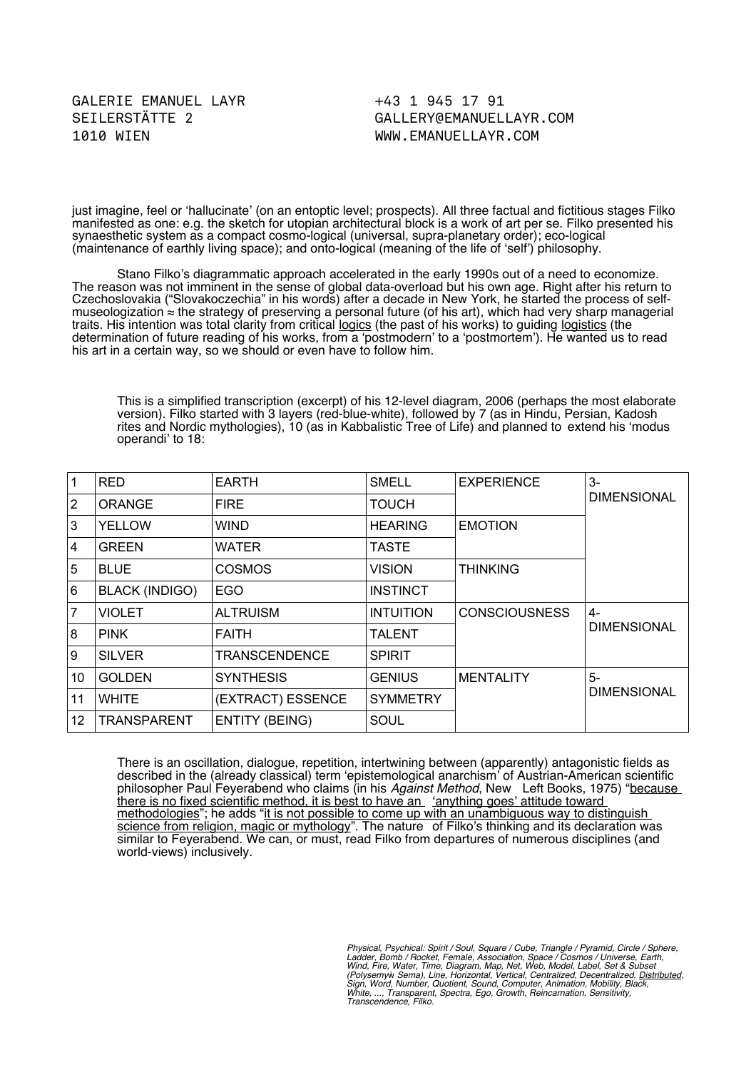+43 1 945 17 91 [GALLERY@EMANUELLAYR.COM](mailto:gallery@emanuellayr.com) WWW.EMANUELLAYR.COM

just imagine, feel or 'hallucinate' (on an entoptic level; prospects). All three factual and fictitious stages Filko manifested as one: e.g. the sketch for utopian architectural block is a work of art per se. Filko presented his synaesthetic system as a compact cosmo-logical (universal, supra-planetary order); eco-logical (maintenance of earthly living space); and onto-logical (meaning of the life of 'self') philosophy.

Stano Filko's diagrammatic approach accelerated in the early 1990s out of a need to economize. The reason was not imminent in the sense of global data-overload but his own age. Right after his return to Czechoslovakia ("Slovakoczechia" in his words) after a decade in New York, he started the process of selfmuseologization ≈ the strategy of preserving a personal future (of his art), which had very sharp managerial traits. His intention was total clarity from critical logics (the past of his works) to guiding logistics (the determination of future reading of his works, from a 'postmodern' to a 'postmortem'). He wanted us to read his art in a certain way, so we should or even have to follow him.

This is a simplifed transcription (excerpt) of his 12-level diagram, 2006 (perhaps the most elaborate version). Filko started with 3 layers (red-blue-white), followed by 7 (as in Hindu, Persian, Kadosh rites and Nordic mythologies), 10 (as in Kabbalistic Tree of Life) and planned to extend his 'modus operandi' to 18:

| 1  | <b>RED</b>            | <b>EARTH</b>          | <b>SMELL</b>     | <b>EXPERIENCE</b>    | 3-<br><b>DIMENSIONAL</b>   |
|----|-----------------------|-----------------------|------------------|----------------------|----------------------------|
| 2  | <b>ORANGE</b>         | <b>FIRE</b>           | <b>TOUCH</b>     |                      |                            |
| 3  | <b>YELLOW</b>         | <b>WIND</b>           | <b>HEARING</b>   | <b>EMOTION</b>       |                            |
| 4  | <b>GREEN</b>          | <b>WATER</b>          | <b>TASTE</b>     |                      |                            |
| 5  | <b>BLUE</b>           | <b>COSMOS</b>         | <b>VISION</b>    | <b>THINKING</b>      |                            |
| 6  | <b>BLACK (INDIGO)</b> | EGO                   | <b>INSTINCT</b>  |                      |                            |
| 7  | <b>VIOLET</b>         | <b>ALTRUISM</b>       | <b>INTUITION</b> | <b>CONSCIOUSNESS</b> | 4-<br><b>DIMENSIONAL</b>   |
| 8  | <b>PINK</b>           | <b>FAITH</b>          | <b>TALENT</b>    |                      |                            |
| 9  | <b>SILVER</b>         | <b>TRANSCENDENCE</b>  | <b>SPIRIT</b>    |                      |                            |
| 10 | <b>GOLDEN</b>         | <b>SYNTHESIS</b>      | <b>GENIUS</b>    | <b>MENTALITY</b>     | $5-$<br><b>DIMENSIONAL</b> |
| 11 | <b>WHITE</b>          | (EXTRACT) ESSENCE     | <b>SYMMETRY</b>  |                      |                            |
| 12 | <b>TRANSPARENT</b>    | <b>ENTITY (BEING)</b> | SOUL             |                      |                            |

There is an oscillation, dialogue, repetition, intertwining between (apparently) antagonistic felds as described in the (already classical) term 'epistemological anarchism' of Austrian-American scientifc philosopher Paul Feyerabend who claims (in his Against Method, New Left Books, 1975) "because there is no fxed scientifc method, it is best to have an 'anything goes' attitude toward methodologies"; he adds "it is not possible to come up with an unambiguous way to distinguish science from religion, magic or mythology". The nature of Filko's thinking and its declaration was similar to Feyerabend. We can, or must, read Filko from departures of numerous disciplines (and world-views) inclusively.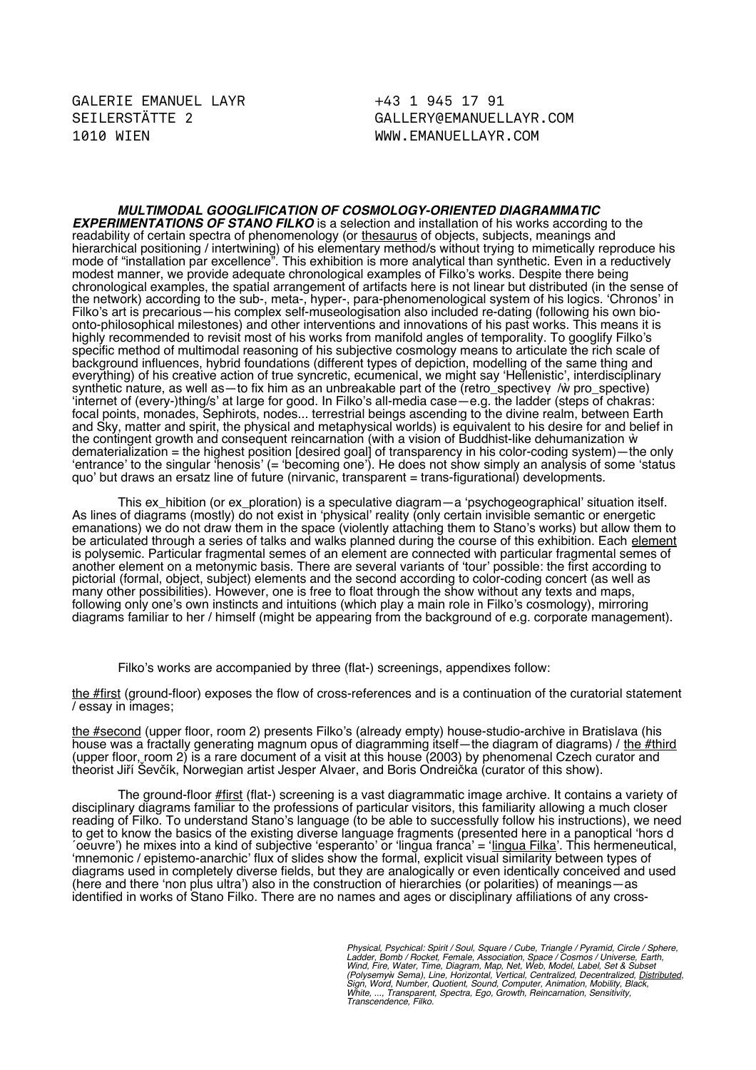+43 1 945 17 91 [GALLERY@EMANUELLAYR.COM](mailto:gallery@emanuellayr.com) WWW.EMANUELLAYR.COM

**MULTIMODAL GOOGLIFICATION OF COSMOLOGY-ORIENTED DIAGRAMMATIC EXPERIMENTATIONS OF STANO FILKO** is a selection and installation of his works according to the readability of certain spectra of phenomenology (or thesaurus of objects, subjects, meanings and hierarchical positioning / intertwining) of his elementary method/s without trying to mimetically reproduce his mode of "installation par excellence". This exhibition is more analytical than synthetic. Even in a reductively modest manner, we provide adequate chronological examples of Filko's works. Despite there being chronological examples, the spatial arrangement of artifacts here is not linear but distributed (in the sense of the network) according to the sub-, meta-, hyper-, para-phenomenological system of his logics. 'Chronos' in Filko's art is precarious—his complex self-museologisation also included re-dating (following his own bioonto-philosophical milestones) and other interventions and innovations of his past works. This means it is highly recommended to revisit most of his works from manifold angles of temporality. To googlify Filko's specific method of multimodal reasoning of his subjective cosmology means to articulate the rich scale of background infuences, hybrid foundations (different types of depiction, modelling of the same thing and everything) of his creative action of true syncretic, ecumenical, we might say 'Hellenistic', interdisciplinary synthetic nature, as well as—to fix him as an unbreakable part of the (retro\_spective← / $\dot{w}$  pro\_spective) 'internet of (every-)thing/s' at large for good. In Filko's all-media case—e.g. the ladder (steps of chakras: focal points, monades, Sephirots, nodes... terrestrial beings ascending to the divine realm, between Earth and Sky, matter and spirit, the physical and metaphysical worlds) is equivalent to his desire for and belief in the contingent growth and consequent reincarnation (with a vision of Buddhist-like dehumanization  $\dot{w}$ dematerialization = the highest position [desired goal] of transparency in his color-coding system)—the only 'entrance' to the singular 'henosis' (= 'becoming one'). He does not show simply an analysis of some 'status quo' but draws an ersatz line of future (nirvanic, transparent = trans-fgurational) developments.

This ex\_hibition (or ex\_ploration) is a speculative diagram—a 'psychogeographical' situation itself. As lines of diagrams (mostly) do not exist in 'physical' reality (only certain invisible semantic or energetic emanations) we do not draw them in the space (violently attaching them to Stano's works) but allow them to be articulated through a series of talks and walks planned during the course of this exhibition. Each <u>element</u> is polysemic. Particular fragmental semes of an element are connected with particular fragmental semes of another element on a metonymic basis. There are several variants of 'tour' possible: the frst according to pictorial (formal, object, subject) elements and the second according to color-coding concert (as well as many other possibilities). However, one is free to float through the show without any texts and maps, following only one's own instincts and intuitions (which play a main role in Filko's cosmology), mirroring diagrams familiar to her / himself (might be appearing from the background of e.g. corporate management).

Filko's works are accompanied by three (flat-) screenings, appendixes follow:

the #first (ground-floor) exposes the flow of cross-references and is a continuation of the curatorial statement / essay in images;

the #second (upper foor, room 2) presents Filko's (already empty) house-studio-archive in Bratislava (his house was a fractally generating magnum opus of diagramming itself—the diagram of diagrams) / <u>the #third</u> (upper floor, room 2) is a rare document of a visit at this house (2003) by phenomenal Czech curator and theorist Jiří Ševčík, Norwegian artist Jesper Alvaer, and Boris Ondreička (curator of this show).

The ground-floor **#first** (flat-) screening is a vast diagrammatic image archive. It contains a variety of disciplinary diagrams familiar to the professions of particular visitors, this familiarity allowing a much closer reading of Filko. To understand Stano's language (to be able to successfully follow his instructions), we need to get to know the basics of the existing diverse language fragments (presented here in a panoptical 'hors d ´oeuvre') he mixes into a kind of subjective 'esperanto' or 'lingua franca' = 'lingua Filka'. This hermeneutical, 'mnemonic / epistemo-anarchic' fux of slides show the formal, explicit visual similarity between types of diagrams used in completely diverse felds, but they are analogically or even identically conceived and used (here and there 'non plus ultra') also in the construction of hierarchies (or polarities) of meanings—as identifed in works of Stano Filko. There are no names and ages or disciplinary affliations of any cross-